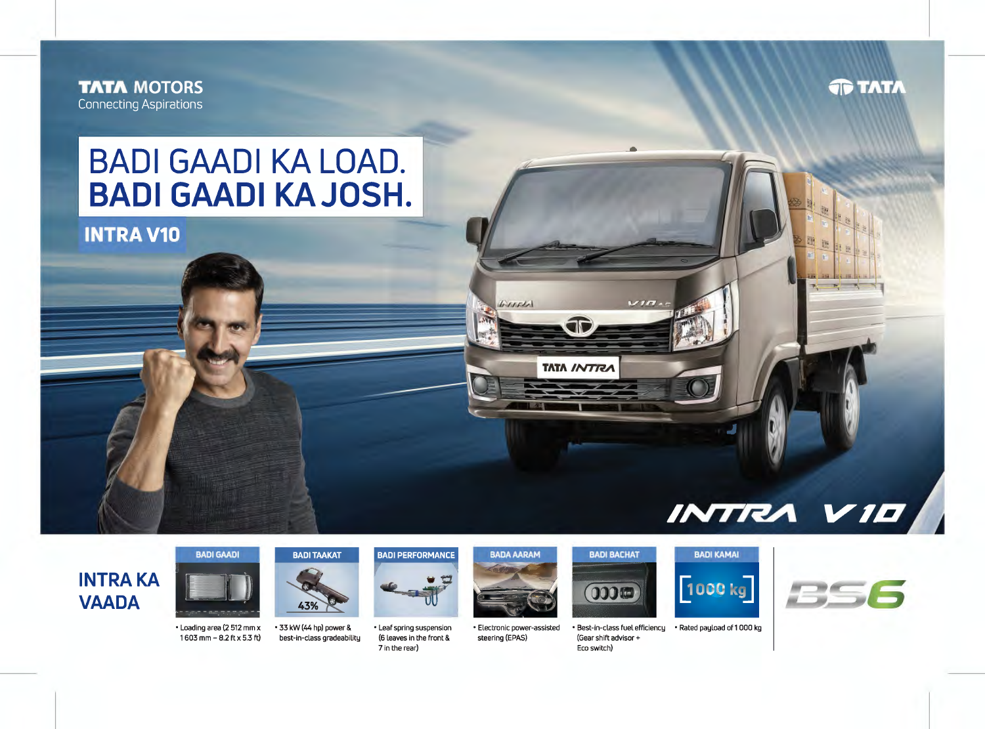**TATA MOTORS Connecting Aspirations** 

## **TATA**

## **BADI GAADI KA LOAD. BADI GAADI KAJOSH.**

**INTRA V10** 

## INTRA VIE

## **INTRA KA VAADA**



1 603 mm - 8.2 ft x 5.3 ft)



• Loading area (2 512 mm x • 33 kW (44 hp) power & best-in-class gradeability

• Leaf spring suspension (6 leaves in the front & 7 in the rear)

**BADI PERFORMANCE** 



WITTH

**TATA INTRU** 

• Electronic power-assisted steering (EPAS)



(Gear shift advisor + Eco switch)

 $\frac{1}{2}$